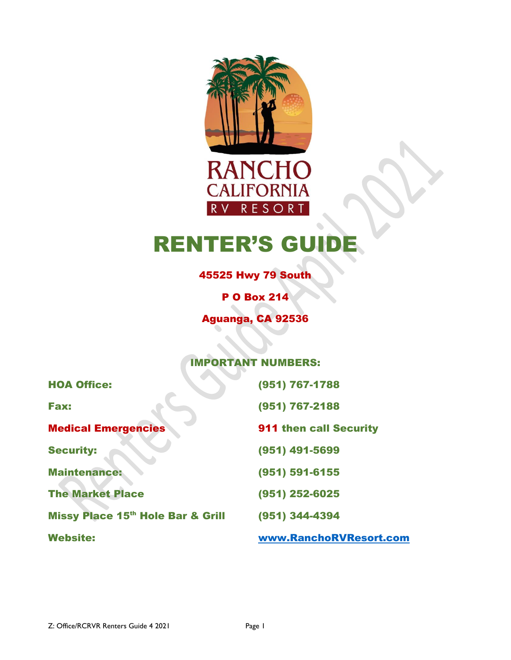

**RANCH CALIFORNIA** RESORT R V

# **RENTER'S GU**

 $\bullet$ 

45525 Hwy 79 South

P O Box 214

Aguanga, CA 92536

#### IMPORTANT NUMBERS:

| <b>HOA Office:</b>                | (951) 767-1788                |
|-----------------------------------|-------------------------------|
| <b>Fax:</b>                       | (951) 767-2188                |
| <b>Medical Emergencies</b>        | <b>911 then call Security</b> |
| <b>Security:</b>                  | (951) 491-5699                |
| <b>Maintenance:</b>               | (951) 591-6155                |
| <b>The Market Place</b>           | (951) 252-6025                |
| Missy Place 15th Hole Bar & Grill | (951) 344-4394                |
| <b>Website:</b>                   | www.RanchoRVResort.com        |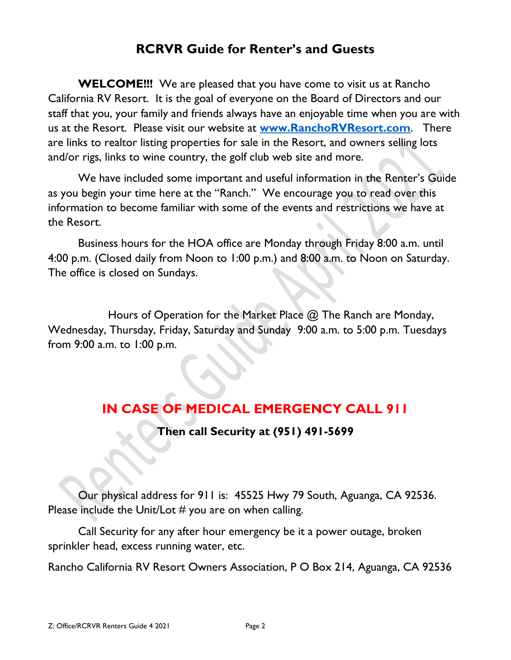## **RCRVR Guide for Renter's and Guests**

**WELCOME!!!** We are pleased that you have come to visit us at Rancho California RV Resort. It is the goal of everyone on the Board of Directors and our staff that you, your family and friends always have an enjoyable time when you are with us at the Resort. Please visit our website at **[www.RanchoRVResort.com](http://www.ranchorvresort.com/)**. There are links to realtor listing properties for sale in the Resort, and owners selling lots and/or rigs, links to wine country, the golf club web site and more.

We have included some important and useful information in the Renter's Guide as you begin your time here at the "Ranch." We encourage you to read over this information to become familiar with some of the events and restrictions we have at the Resort.

Business hours for the HOA office are Monday through Friday 8:00 a.m. until 4:00 p.m. (Closed daily from Noon to 1:00 p.m.) and 8:00 a.m. to Noon on Saturday. The office is closed on Sundays.

Hours of Operation for the Market Place @ The Ranch are Monday, Wednesday, Thursday, Friday, Saturday and Sunday 9:00 a.m. to 5:00 p.m. Tuesdays from 9:00 a.m. to 1:00 p.m.

# **IN CASE OF MEDICAL EMERGENCY CALL 911**

**Then call Security at (951) 491-5699**

Our physical address for 911 is: 45525 Hwy 79 South, Aguanga, CA 92536. Please include the Unit/Lot # you are on when calling.

Call Security for any after hour emergency be it a power outage, broken sprinkler head, excess running water, etc.

Rancho California RV Resort Owners Association, P O Box 214, Aguanga, CA 92536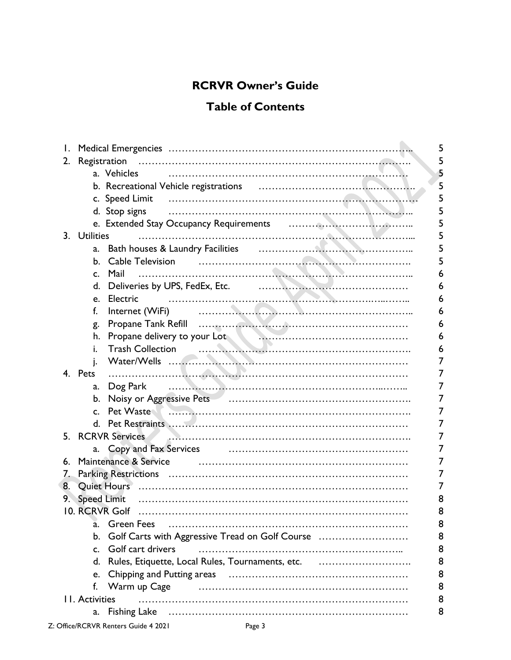## **RCRVR Owner's Guide**

### **Table of Contents**

| $\mathsf{I}$ .             |                                                                                               | 5 |
|----------------------------|-----------------------------------------------------------------------------------------------|---|
| 2.                         |                                                                                               | 5 |
|                            | a. Vehicles                                                                                   | 5 |
|                            |                                                                                               | 5 |
|                            |                                                                                               | 5 |
|                            |                                                                                               | 5 |
|                            |                                                                                               | 5 |
|                            | 3. Utilities                                                                                  | 5 |
|                            | a.                                                                                            |   |
|                            | Cable Television<br>b.                                                                        |   |
|                            | Mail<br>C.                                                                                    |   |
|                            | Deliveries by UPS, FedEx, Etc. <b>Construction of the Construction</b> OPS, FedEx, Etc.<br>d. | 6 |
|                            | Electric                                                                                      |   |
|                            | e.                                                                                            |   |
|                            | f.                                                                                            |   |
|                            | g.                                                                                            |   |
|                            | Propane delivery to your Lot<br>Trash Collection<br>h.                                        | 6 |
|                            | Ĺ.                                                                                            | 6 |
|                            | j.                                                                                            | 7 |
|                            | 4. Pets                                                                                       | 7 |
|                            | a.                                                                                            | 7 |
|                            | b.                                                                                            | 7 |
|                            | Pet Waste<br>$\mathsf{C}$ .                                                                   | 7 |
|                            |                                                                                               | 7 |
|                            |                                                                                               | 7 |
|                            |                                                                                               | 7 |
| 6.                         | Maintenance & Service                                                                         | 7 |
| Z.                         |                                                                                               |   |
| 8.                         |                                                                                               | 7 |
| 9.                         |                                                                                               |   |
|                            |                                                                                               | 8 |
|                            | 10. RCRVR Golf                                                                                |   |
|                            | <b>Green Fees</b><br>a.                                                                       | 8 |
|                            | Golf Carts with Aggressive Tread on Golf Course<br>b.                                         | 8 |
|                            | Golf cart drivers<br>$C_{\cdot}$                                                              | 8 |
|                            | Rules, Etiquette, Local Rules, Tournaments, etc.<br>d.                                        | 8 |
|                            | e.                                                                                            | 8 |
|                            | Warm up Cage<br>f.                                                                            | 8 |
| 8<br><b>11. Activities</b> |                                                                                               |   |
|                            | a.                                                                                            | 8 |
|                            |                                                                                               |   |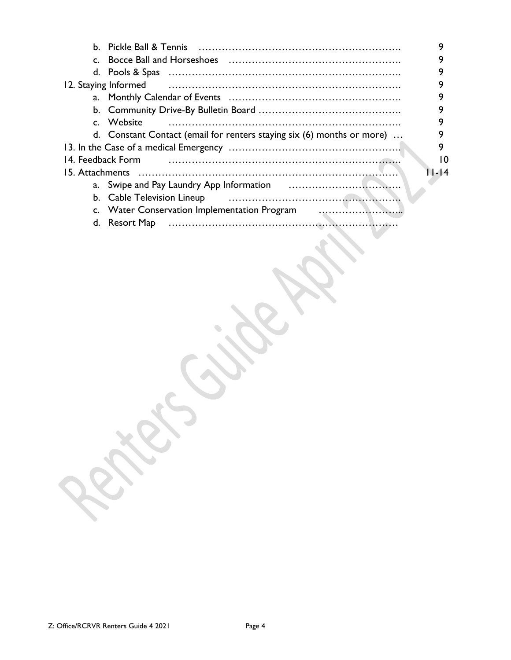| b. Pickle Ball & Tennis                                                |    |
|------------------------------------------------------------------------|----|
|                                                                        |    |
|                                                                        |    |
| 12. Staying Informed                                                   |    |
|                                                                        |    |
|                                                                        |    |
| c. Website                                                             |    |
| d. Constant Contact (email for renters staying six (6) months or more) |    |
|                                                                        | 9  |
| 14. Feedback Form                                                      | 10 |
| $1 - 14$<br>15. Attachments                                            |    |
|                                                                        |    |
|                                                                        |    |
| c. Water Conservation Implementation Program                           |    |
| d. Resort Map                                                          |    |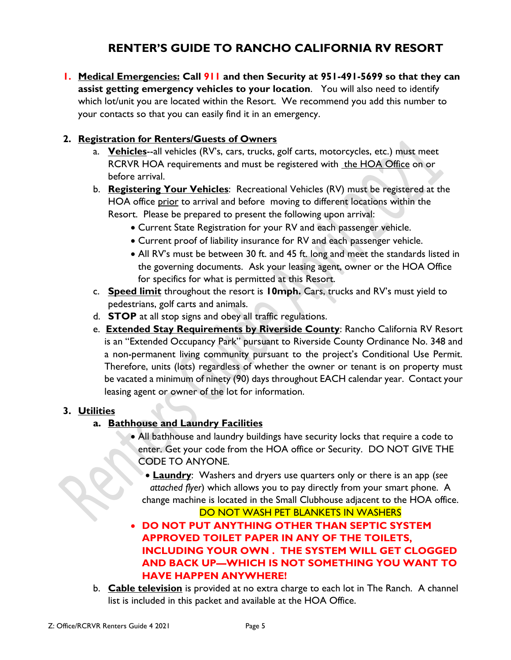## **RENTER'S GUIDE TO RANCHO CALIFORNIA RV RESORT**

**1. Medical Emergencies: Call 911 and then Security at 951-491-5699 so that they can assist getting emergency vehicles to your location**. You will also need to identify which lot/unit you are located within the Resort. We recommend you add this number to your contacts so that you can easily find it in an emergency.

#### **2. Registration for Renters/Guests of Owners**

- a. **Vehicles**--all vehicles (RV's, cars, trucks, golf carts, motorcycles, etc.) must meet RCRVR HOA requirements and must be registered with the HOA Office on or before arrival.
- b. **Registering Your Vehicles**: Recreational Vehicles (RV) must be registered at the HOA office prior to arrival and before moving to different locations within the Resort. Please be prepared to present the following upon arrival:
	- Current State Registration for your RV and each passenger vehicle.
	- Current proof of liability insurance for RV and each passenger vehicle.
	- All RV's must be between 30 ft. and 45 ft. long and meet the standards listed in the governing documents. Ask your leasing agent, owner or the HOA Office for specifics for what is permitted at this Resort.
- c. **Speed limit** throughout the resort is **10mph.** Cars, trucks and RV's must yield to pedestrians, golf carts and animals.
- d. **STOP** at all stop signs and obey all traffic regulations.
- e. **Extended Stay Requirements by Riverside County**: Rancho California RV Resort is an "Extended Occupancy Park" pursuant to Riverside County Ordinance No. 348 and a non-permanent living community pursuant to the project's Conditional Use Permit. Therefore, units (lots) regardless of whether the owner or tenant is on property must be vacated a minimum of ninety (90) days throughout EACH calendar year. Contact your leasing agent or owner of the lot for information.

#### **3. Utilities**

#### **a. Bathhouse and Laundry Facilities**

- All bathhouse and laundry buildings have security locks that require a code to enter. Get your code from the HOA office or Security. DO NOT GIVE THE CODE TO ANYONE.
	- **Laundry**: Washers and dryers use quarters only or there is an app (*see attached flyer*) which allows you to pay directly from your smart phone. A change machine is located in the Small Clubhouse adjacent to the HOA office.

DO NOT WASH PET BLANKETS IN WASHERS

- **DO NOT PUT ANYTHING OTHER THAN SEPTIC SYSTEM APPROVED TOILET PAPER IN ANY OF THE TOILETS, INCLUDING YOUR OWN . THE SYSTEM WILL GET CLOGGED AND BACK UP—WHICH IS NOT SOMETHING YOU WANT TO HAVE HAPPEN ANYWHERE!**
- b. **Cable television** is provided at no extra charge to each lot in The Ranch. A channel list is included in this packet and available at the HOA Office.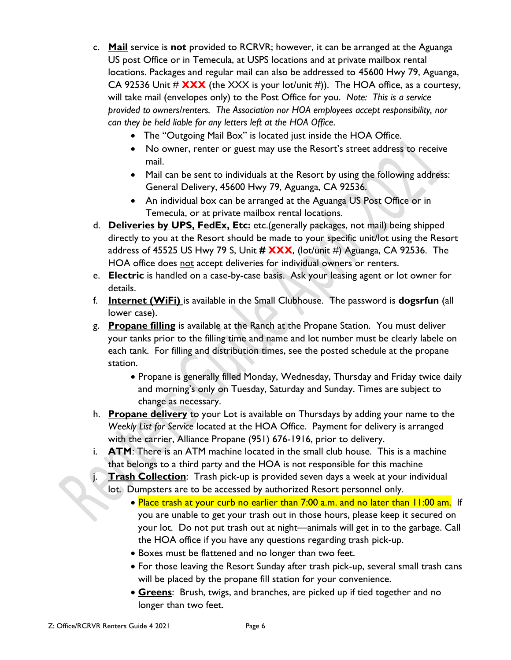- c. **Mail** service is **not** provided to RCRVR; however, it can be arranged at the Aguanga US post Office or in Temecula, at USPS locations and at private mailbox rental locations. Packages and regular mail can also be addressed to 45600 Hwy 79, Aguanga, CA 92536 Unit  $\#\overrightarrow{XXX}$  (the XXX is your lot/unit  $\#$ )). The HOA office, as a courtesy, will take mail (envelopes only) to the Post Office for you. *Note: This is a service provided to owners/renters. The Association nor HOA employees accept responsibility, nor can they be held liable for any letters left at the HOA Office*.
	- The "Outgoing Mail Box" is located just inside the HOA Office.
	- No owner, renter or guest may use the Resort's street address to receive mail.
	- Mail can be sent to individuals at the Resort by using the following address: General Delivery, 45600 Hwy 79, Aguanga, CA 92536.
	- An individual box can be arranged at the Aguanga US Post Office or in Temecula, or at private mailbox rental locations.
- d. **Deliveries by UPS, FedEx, Etc:** etc.(generally packages, not mail) being shipped directly to you at the Resort should be made to your specific unit/lot using the Resort address of 45525 US Hwy 79 S, Unit **# XXX**, (lot/unit #) Aguanga, CA 92536. The HOA office does not accept deliveries for individual owners or renters.
- e. **Electric** is handled on a case-by-case basis. Ask your leasing agent or lot owner for details.
- f. **Internet (WiFi)** is available in the Small Clubhouse. The password is **dogsrfun** (all lower case).
- g. **Propane filling** is available at the Ranch at the Propane Station. You must deliver your tanks prior to the filling time and name and lot number must be clearly labele on each tank. For filling and distribution times, see the posted schedule at the propane station.
	- Propane is generally filled Monday, Wednesday, Thursday and Friday twice daily and morning's only on Tuesday, Saturday and Sunday. Times are subject to change as necessary.
- h. **Propane delivery** to your Lot is available on Thursdays by adding your name to the *Weekly List for Service* located at the HOA Office. Payment for delivery is arranged with the carrier, Alliance Propane (951) 676-1916, prior to delivery.
- i. **ATM**: There is an ATM machine located in the small club house. This is a machine that belongs to a third party and the HOA is not responsible for this machine
	- **Trash Collection**: Trash pick-up is provided seven days a week at your individual lot. Dumpsters are to be accessed by authorized Resort personnel only.
		- Place trash at your curb no earlier than 7:00 a.m. and no later than 11:00 am. If you are unable to get your trash out in those hours, please keep it secured on your lot. Do not put trash out at night—animals will get in to the garbage. Call the HOA office if you have any questions regarding trash pick-up.
		- Boxes must be flattened and no longer than two feet.
		- For those leaving the Resort Sunday after trash pick-up, several small trash cans will be placed by the propane fill station for your convenience.
		- **Greens**: Brush, twigs, and branches, are picked up if tied together and no longer than two feet.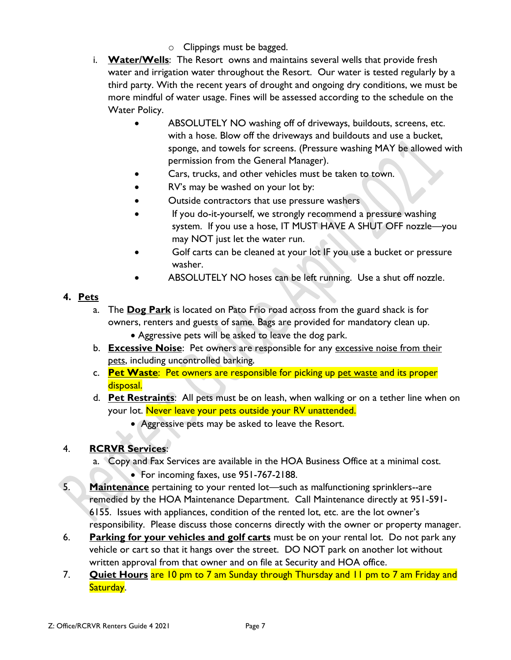- o Clippings must be bagged.
- i. **Water/Wells**: The Resort owns and maintains several wells that provide fresh water and irrigation water throughout the Resort. Our water is tested regularly by a third party. With the recent years of drought and ongoing dry conditions, we must be more mindful of water usage. Fines will be assessed according to the schedule on the Water Policy.
	- ABSOLUTELY NO washing off of driveways, buildouts, screens, etc. with a hose. Blow off the driveways and buildouts and use a bucket, sponge, and towels for screens. (Pressure washing MAY be allowed with permission from the General Manager).
	- Cars, trucks, and other vehicles must be taken to town.
	- RV's may be washed on your lot by:
	- Outside contractors that use pressure washers
	- If you do-it-yourself, we strongly recommend a pressure washing system. If you use a hose, IT MUST HAVE A SHUT OFF nozzle—you may NOT just let the water run.
	- Golf carts can be cleaned at your lot IF you use a bucket or pressure washer.
	- ABSOLUTELY NO hoses can be left running. Use a shut off nozzle.

#### **4. Pets**

- a. The **Dog Park** is located on Pato Frio road across from the guard shack is for owners, renters and guests of same. Bags are provided for mandatory clean up.
	- Aggressive pets will be asked to leave the dog park.
- b. **Excessive Noise**: Pet owners are responsible for any excessive noise from their pets, including uncontrolled barking.
- c. **Pet Waste**: Pet owners are responsible for picking up pet waste and its proper disposal.
- d. **Pet Restraints**: All pets must be on leash, when walking or on a tether line when on your lot. Never leave your pets outside your RV unattended.
	- Aggressive pets may be asked to leave the Resort.

#### 4. **RCRVR Services**:

- a. Copy and Fax Services are available in the HOA Business Office at a minimal cost.
	- For incoming faxes, use 951-767-2188.
- 5. **Maintenance** pertaining to your rented lot—such as malfunctioning sprinklers--are remedied by the HOA Maintenance Department. Call Maintenance directly at 951-591- 6155. Issues with appliances, condition of the rented lot, etc. are the lot owner's responsibility. Please discuss those concerns directly with the owner or property manager.
- 6. **Parking for your vehicles and golf carts** must be on your rental lot. Do not park any vehicle or cart so that it hangs over the street. DO NOT park on another lot without written approval from that owner and on file at Security and HOA office.
- 7. **Quiet Hours** are 10 pm to 7 am Sunday through Thursday and 11 pm to 7 am Friday and Saturday.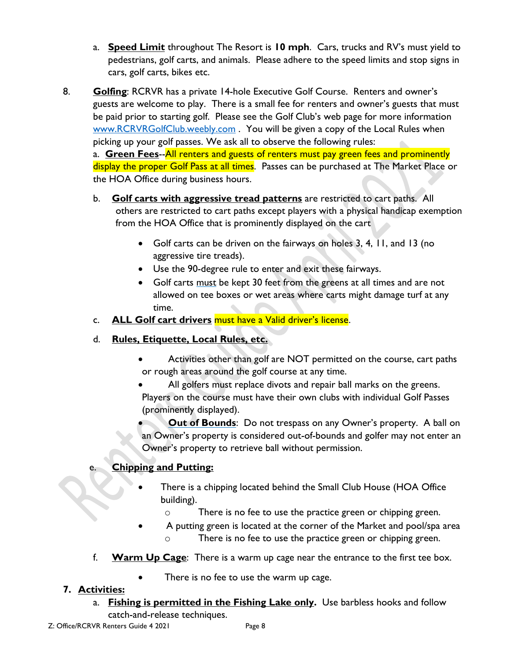- a. **Speed Limit** throughout The Resort is **10 mph**. Cars, trucks and RV's must yield to pedestrians, golf carts, and animals. Please adhere to the speed limits and stop signs in cars, golf carts, bikes etc.
- 8. **Golfing**: RCRVR has a private 14-hole Executive Golf Course. Renters and owner's guests are welcome to play. There is a small fee for renters and owner's guests that must be paid prior to starting golf. Please see the Golf Club's web page for more information [www.RCRVRGolfClub.weebly.com](http://www.rcrvrgolfclub.weebly.com/) . You will be given a copy of the Local Rules when picking up your golf passes. We ask all to observe the following rules:

a. **Green Fees**--All renters and guests of renters must pay green fees and prominently display the proper Golf Pass at all times. Passes can be purchased at The Market Place or the HOA Office during business hours.

- b. **Golf carts with aggressive tread patterns** are restricted to cart paths. All others are restricted to cart paths except players with a physical handicap exemption from the HOA Office that is prominently displayed on the cart
	- Golf carts can be driven on the fairways on holes 3, 4, 11, and 13 (no aggressive tire treads).
	- Use the 90-degree rule to enter and exit these fairways.
	- Golf carts must be kept 30 feet from the greens at all times and are not allowed on tee boxes or wet areas where carts might damage turf at any time.
- c. **ALL Golf cart drivers** must have a Valid driver's license.
- d. **Rules, Etiquette, Local Rules, etc.**
	- Activities other than golf are NOT permitted on the course, cart paths or rough areas around the golf course at any time.
	- All golfers must replace divots and repair ball marks on the greens. Players on the course must have their own clubs with individual Golf Passes (prominently displayed).
	- **Out of Bounds:** Do not trespass on any Owner's property. A ball on an Owner's property is considered out-of-bounds and golfer may not enter an Owner's property to retrieve ball without permission.

#### e. **Chipping and Putting:**

- There is a chipping located behind the Small Club House (HOA Office building).
	- o There is no fee to use the practice green or chipping green.
- A putting green is located at the corner of the Market and pool/spa area o There is no fee to use the practice green or chipping green.
- f. **Warm Up Cage**: There is a warm up cage near the entrance to the first tee box.
	- There is no fee to use the warm up cage.

#### **7. Activities:**

a. **Fishing is permitted in the Fishing Lake only.** Use barbless hooks and follow catch-and-release techniques.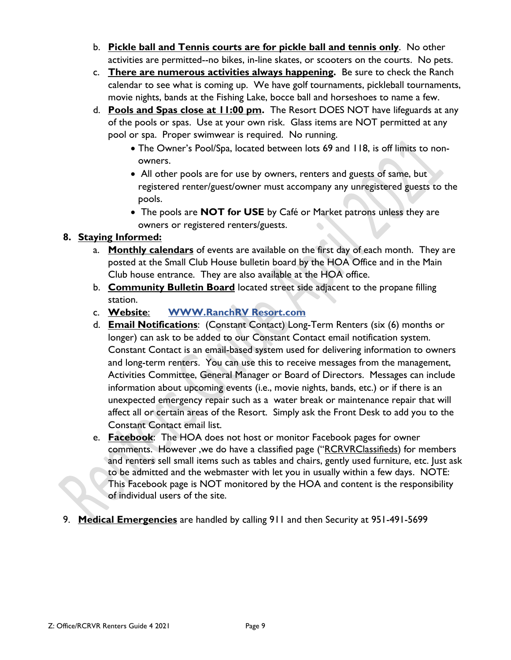- b. **Pickle ball and Tennis courts are for pickle ball and tennis only**. No other activities are permitted--no bikes, in-line skates, or scooters on the courts. No pets.
- c. **There are numerous activities always happening.** Be sure to check the Ranch calendar to see what is coming up. We have golf tournaments, pickleball tournaments, movie nights, bands at the Fishing Lake, bocce ball and horseshoes to name a few.
- d. **Pools and Spas close at 11:00 pm.** The Resort DOES NOT have lifeguards at any of the pools or spas. Use at your own risk. Glass items are NOT permitted at any pool or spa. Proper swimwear is required. No running.
	- The Owner's Pool/Spa, located between lots 69 and 118, is off limits to nonowners.
	- All other pools are for use by owners, renters and guests of same, but registered renter/guest/owner must accompany any unregistered guests to the pools.
	- The pools are **NOT for USE** by Café or Market patrons unless they are owners or registered renters/guests.  $\bullet$

#### **8. Staying Informed:**

- a. **Monthly calendars** of events are available on the first day of each month. They are posted at the Small Club House bulletin board by the HOA Office and in the Main Club house entrance. They are also available at the HOA office.
- b. **Community Bulletin Board** located street side adjacent to the propane filling station.
- c. **Website**: **WWW.RanchRV Resort.com**
- d. **Email Notifications**: (Constant Contact) Long-Term Renters (six (6) months or longer) can ask to be added to our Constant Contact email notification system. Constant Contact is an email-based system used for delivering information to owners and long-term renters. You can use this to receive messages from the management, Activities Committee, General Manager or Board of Directors. Messages can include information about upcoming events (i.e., movie nights, bands, etc.) or if there is an unexpected emergency repair such as a water break or maintenance repair that will affect all or certain areas of the Resort. Simply ask the Front Desk to add you to the Constant Contact email list.
- e. **Facebook**: The HOA does not host or monitor Facebook pages for owner comments. However ,we do have a classified page ("RCRVRClassifieds) for members and renters sell small items such as tables and chairs, gently used furniture, etc. Just ask to be admitted and the webmaster with let you in usually within a few days. NOTE: This Facebook page is NOT monitored by the HOA and content is the responsibility of individual users of the site.
- 9. **Medical Emergencies** are handled by calling 911 and then Security at 951-491-5699